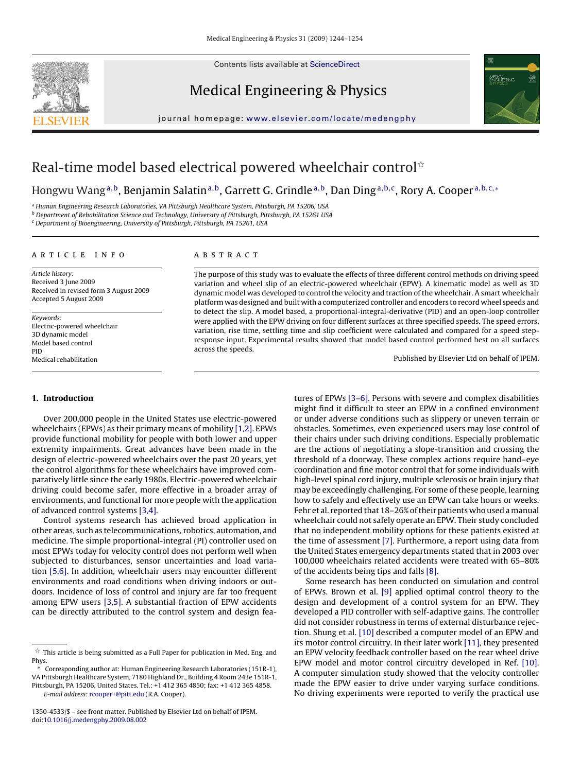Contents lists available at [ScienceDirect](http://www.sciencedirect.com/science/journal/13504533)



Medical Engineering & Physics



journal homepage: [www.elsevier.com/locate/medengphy](http://www.elsevier.com/locate/medengphy)

## Real-time model based electrical powered wheelchair control $^{\scriptscriptstyle\star}$

Hongwu Wang<sup>a,b</sup>, Benjamin Salatin<sup>a,b</sup>, Garrett G. Grindle<sup>a,b</sup>, Dan Ding<sup>a,b,c</sup>, Rory A. Cooper<sup>a,b,c,</sup>∗

<sup>a</sup> Human Engineering Research Laboratories, VA Pittsburgh Healthcare System, Pittsburgh, PA 15206, USA

<sup>b</sup> Department of Rehabilitation Science and Technology, University of Pittsburgh, Pittsburgh, PA 15261 USA

<sup>c</sup> Department of Bioengineering, University of Pittsburgh, Pittsburgh, PA 15261, USA

#### article info

Article history: Received 3 June 2009 Received in revised form 3 August 2009 Accepted 5 August 2009

Keywords: Electric-powered wheelchair 3D dynamic model Model based control PID Medical rehabilitation

### **ABSTRACT**

The purpose of this study was to evaluate the effects of three different control methods on driving speed variation and wheel slip of an electric-powered wheelchair (EPW). A kinematic model as well as 3D dynamic model was developed to control the velocity and traction of the wheelchair. A smart wheelchair platform was designed and built with a computerized controller and encoders to record wheel speeds and to detect the slip. A model based, a proportional-integral-derivative (PID) and an open-loop controller were applied with the EPW driving on four different surfaces at three specified speeds. The speed errors, variation, rise time, settling time and slip coefficient were calculated and compared for a speed stepresponse input. Experimental results showed that model based control performed best on all surfaces across the speeds.

Published by Elsevier Ltd on behalf of IPEM.

#### **1. Introduction**

Over 200,000 people in the United States use electric-powered wheelchairs (EPWs) as their primary means of mobility [\[1,2\]. E](#page--1-0)PWs provide functional mobility for people with both lower and upper extremity impairments. Great advances have been made in the design of electric-powered wheelchairs over the past 20 years, yet the control algorithms for these wheelchairs have improved comparatively little since the early 1980s. Electric-powered wheelchair driving could become safer, more effective in a broader array of environments, and functional for more people with the application of advanced control systems [\[3,4\].](#page--1-0)

Control systems research has achieved broad application in other areas, such as telecommunications, robotics, automation, and medicine. The simple proportional-integral (PI) controller used on most EPWs today for velocity control does not perform well when subjected to disturbances, sensor uncertainties and load variation [\[5,6\]. I](#page--1-0)n addition, wheelchair users may encounter different environments and road conditions when driving indoors or outdoors. Incidence of loss of control and injury are far too frequent among EPW users [\[3,5\].](#page--1-0) A substantial fraction of EPW accidents can be directly attributed to the control system and design features of EPWs [\[3–6\]. P](#page--1-0)ersons with severe and complex disabilities might find it difficult to steer an EPW in a confined environment or under adverse conditions such as slippery or uneven terrain or obstacles. Sometimes, even experienced users may lose control of their chairs under such driving conditions. Especially problematic are the actions of negotiating a slope-transition and crossing the threshold of a doorway. These complex actions require hand–eye coordination and fine motor control that for some individuals with high-level spinal cord injury, multiple sclerosis or brain injury that may be exceedingly challenging. For some of these people, learning how to safely and effectively use an EPW can take hours or weeks. Fehr et al. reported that 18–26% of their patients who used a manual wheelchair could not safely operate an EPW. Their study concluded that no independent mobility options for these patients existed at the time of assessment [\[7\]. F](#page--1-0)urthermore, a report using data from the United States emergency departments stated that in 2003 over 100,000 wheelchairs related accidents were treated with 65–80% of the accidents being tips and falls [\[8\].](#page--1-0)

Some research has been conducted on simulation and control of EPWs. Brown et al. [\[9\]](#page--1-0) applied optimal control theory to the design and development of a control system for an EPW. They developed a PID controller with self-adaptive gains. The controller did not consider robustness in terms of external disturbance rejection. Shung et al. [\[10\]](#page--1-0) described a computer model of an EPW and its motor control circuitry. In their later work [\[11\], t](#page--1-0)hey presented an EPW velocity feedback controller based on the rear wheel drive EPW model and motor control circuitry developed in Ref. [\[10\].](#page--1-0) A computer simulation study showed that the velocity controller made the EPW easier to drive under varying surface conditions. No driving experiments were reported to verify the practical use

 $\overline{\mathbf{x}}$  This article is being submitted as a Full Paper for publication in Med. Eng. and Phys.

<sup>∗</sup> Corresponding author at: Human Engineering Research Laboratories (151R-1), VA Pittsburgh Healthcare System, 7180 Highland Dr., Building 4 Room 243e 151R-1, Pittsburgh, PA 15206, United States. Tel.: +1 412 365 4850; fax: +1 412 365 4858.

E-mail address: [rcooper+@pitt.edu](mailto:rcooper+@pitt.edu) (R.A. Cooper).

<sup>1350-4533/\$ –</sup> see front matter. Published by Elsevier Ltd on behalf of IPEM. doi:[10.1016/j.medengphy.2009.08.002](dx.doi.org/10.1016/j.medengphy.2009.08.002)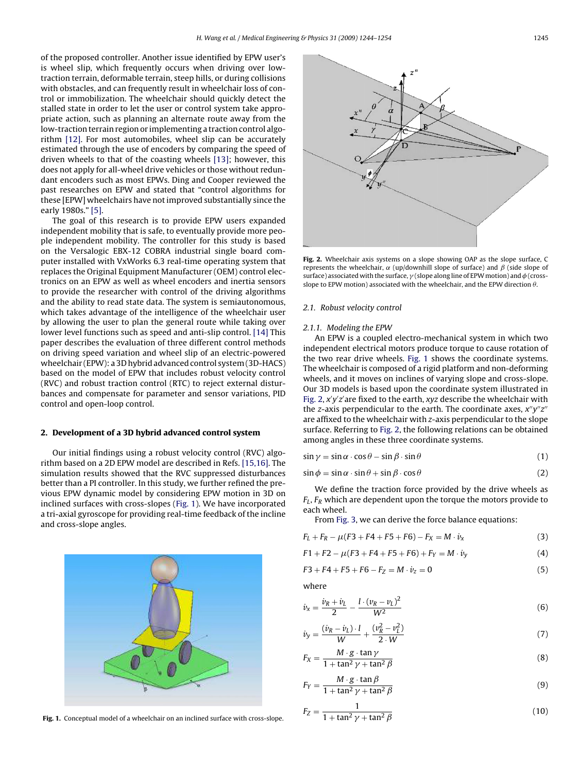of the proposed controller. Another issue identified by EPW user's is wheel slip, which frequently occurs when driving over lowtraction terrain, deformable terrain, steep hills, or during collisions with obstacles, and can frequently result in wheelchair loss of control or immobilization. The wheelchair should quickly detect the stalled state in order to let the user or control system take appropriate action, such as planning an alternate route away from the low-traction terrain region or implementing a traction control algorithm [\[12\].](#page--1-0) For most automobiles, wheel slip can be accurately estimated through the use of encoders by comparing the speed of driven wheels to that of the coasting wheels [\[13\];](#page--1-0) however, this does not apply for all-wheel drive vehicles or those without redundant encoders such as most EPWs. Ding and Cooper reviewed the past researches on EPW and stated that "control algorithms for these [EPW] wheelchairs have not improved substantially since the early 1980s." [\[5\].](#page--1-0)

The goal of this research is to provide EPW users expanded independent mobility that is safe, to eventually provide more people independent mobility. The controller for this study is based on the Versalogic EBX-12 COBRA industrial single board computer installed with VxWorks 6.3 real-time operating system that replaces the Original Equipment Manufacturer (OEM) control electronics on an EPW as well as wheel encoders and inertia sensors to provide the researcher with control of the driving algorithms and the ability to read state data. The system is semiautonomous, which takes advantage of the intelligence of the wheelchair user by allowing the user to plan the general route while taking over lower level functions such as speed and anti-slip control. [\[14\]](#page--1-0) This paper describes the evaluation of three different control methods on driving speed variation and wheel slip of an electric-powered wheelchair (EPW): a 3D hybrid advanced control system (3D-HACS) based on the model of EPW that includes robust velocity control (RVC) and robust traction control (RTC) to reject external disturbances and compensate for parameter and sensor variations, PID control and open-loop control.

#### **2. Development of a 3D hybrid advanced control system**

Our initial findings using a robust velocity control (RVC) algorithm based on a 2D EPW model are described in Refs. [\[15,16\]. T](#page--1-0)he simulation results showed that the RVC suppressed disturbances better than a PI controller. In this study, we further refined the previous EPW dynamic model by considering EPW motion in 3D on inclined surfaces with cross-slopes (Fig. 1). We have incorporated a tri-axial gyroscope for providing real-time feedback of the incline and cross-slope angles.



**Fig. 1.** Conceptual model of a wheelchair on an inclined surface with cross-slope.



**Fig. 2.** Wheelchair axis systems on a slope showing OAP as the slope surface, C represents the wheelchair,  $\alpha$  (up/downhill slope of surface) and  $\beta$  (side slope of surface) associated with the surface,  $\gamma$  (slope along line of EPW motion) and  $\phi$  (cross-<br>clope to EPW motion) associated with the whoolchair, and the EPW direction  $\theta$ slope to EPW motion) associated with the wheelchair, and the EPW direction  $\theta$ .

#### 2.1. Robust velocity control

#### 2.1.1. Modeling the EPW

An EPW is a coupled electro-mechanical system in which two independent electrical motors produce torque to cause rotation of the two rear drive wheels. Fig. 1 shows the coordinate systems. The wheelchair is composed of a rigid platform and non-deforming wheels, and it moves on inclines of varying slope and cross-slope. Our 3D models is based upon the coordinate system illustrated in Fig. 2, x'y'z' are fixed to the earth, xyz describe the wheelchair with the z-axis perpendicular to the earth. The coordinate axes,  $x''y''z''$ are affixed to the wheelchair with z-axis perpendicular to the slope surface. Referring to Fig. 2, the following relations can be obtained among angles in these three coordinate systems.

$$
\sin \gamma = \sin \alpha \cdot \cos \theta - \sin \beta \cdot \sin \theta \tag{1}
$$

$$
\sin \phi = \sin \alpha \cdot \sin \theta + \sin \beta \cdot \cos \theta \tag{2}
$$

We define the traction force provided by the drive wheels as  $F_L$ ,  $F_R$  which are dependent upon the torque the motors provide to each wheel.

From [Fig. 3, w](#page--1-0)e can derive the force balance equations:

$$
F_L + F_R - \mu (F3 + F4 + F5 + F6) - F_X = M \cdot \dot{v}_X
$$
\n(3)

$$
F1 + F2 - \mu(F3 + F4 + F5 + F6) + F_Y = M \cdot \dot{v}_y \tag{4}
$$

$$
F3 + F4 + F5 + F6 - F_Z = M \cdot \dot{v}_z = 0 \tag{5}
$$

where

$$
\dot{v}_x = \frac{\dot{v}_R + \dot{v}_L}{2} - \frac{l \cdot (v_R - v_L)^2}{W^2} \tag{6}
$$

$$
\dot{v}_y = \frac{(\dot{v}_R - \dot{v}_L) \cdot l}{W} + \frac{(v_R^2 - v_L^2)}{2 \cdot W} \tag{7}
$$

$$
F_X = \frac{M \cdot g \cdot \tan \gamma}{1 + \tan^2 \gamma + \tan^2 \beta} \tag{8}
$$

$$
F_Y = \frac{M \cdot g \cdot \tan \beta}{1 + \tan^2 \gamma + \tan^2 \beta} \tag{9}
$$

$$
F_Z = \frac{1}{1 + \tan^2 \gamma + \tan^2 \beta} \tag{10}
$$